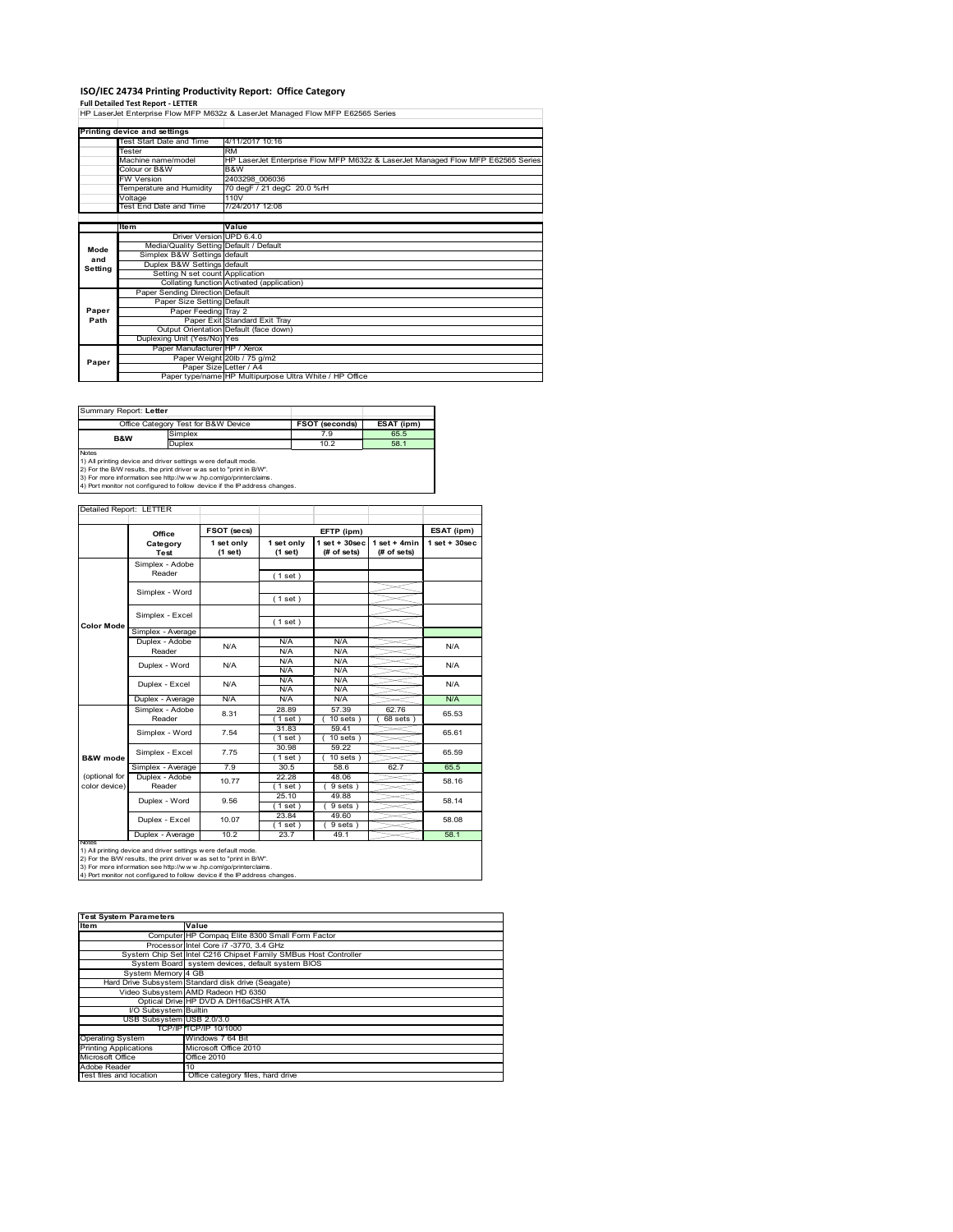# **ISO/IEC 24734 Printing Productivity Report: Office Category**

**Full Detailed Test Report ‐ LETTER** HP LaserJet Enterprise Flow MFP M632z & LaserJet Managed Flow MFP E62565 Series

|         | Printing device and settings            |                                                                                 |  |  |  |  |
|---------|-----------------------------------------|---------------------------------------------------------------------------------|--|--|--|--|
|         | Test Start Date and Time                | 4/11/2017 10:16                                                                 |  |  |  |  |
|         | Tester                                  | <b>RM</b>                                                                       |  |  |  |  |
|         | Machine name/model                      | HP LaserJet Enterprise Flow MFP M632z & LaserJet Managed Flow MFP E62565 Series |  |  |  |  |
|         | Colour or B&W                           | B&W                                                                             |  |  |  |  |
|         | <b>FW Version</b>                       | 2403298 006036                                                                  |  |  |  |  |
|         | Temperature and Humidity                | 70 degF / 21 degC 20.0 %rH                                                      |  |  |  |  |
|         | Voltage                                 | 110V                                                                            |  |  |  |  |
|         | Test End Date and Time                  | 7/24/2017 12:08                                                                 |  |  |  |  |
|         |                                         |                                                                                 |  |  |  |  |
|         | Item                                    | Value                                                                           |  |  |  |  |
|         | Driver Version UPD 6.4.0                |                                                                                 |  |  |  |  |
| Mode    | Media/Quality Setting Default / Default |                                                                                 |  |  |  |  |
| and     | Simplex B&W Settings default            |                                                                                 |  |  |  |  |
| Setting | Duplex B&W Settings default             |                                                                                 |  |  |  |  |
|         | Setting N set count Application         |                                                                                 |  |  |  |  |
|         |                                         | Collating function Activated (application)                                      |  |  |  |  |
|         | Paper Sending Direction Default         |                                                                                 |  |  |  |  |
|         | Paper Size Setting Default              |                                                                                 |  |  |  |  |
| Paper   | Paper Feeding Tray 2                    |                                                                                 |  |  |  |  |
| Path    |                                         | Paper Exit Standard Exit Tray                                                   |  |  |  |  |
|         |                                         | Output Orientation Default (face down)                                          |  |  |  |  |
|         | Duplexing Unit (Yes/No) Yes             |                                                                                 |  |  |  |  |
|         | Paper Manufacturer HP / Xerox           |                                                                                 |  |  |  |  |
| Paper   |                                         | Paper Weight 20lb / 75 g/m2                                                     |  |  |  |  |
|         |                                         | Paper Size Letter / A4                                                          |  |  |  |  |
|         |                                         | Paper type/name HP Multipurpose Ultra White / HP Office                         |  |  |  |  |

Т

٦

Т

Summary Report: **Letter**

|                | Office Category Test for B&W Device                           | FSOT (seconds) | ESAT (ipm) |
|----------------|---------------------------------------------------------------|----------------|------------|
| <b>B&amp;W</b> | Simplex                                                       | 7.9            | 65.5       |
|                | Duplex                                                        | 10.2           | 58.1       |
| <b>Notes</b>   |                                                               |                |            |
|                | 1) All printing device and driver settings were default mode. |                |            |

and the

1) All printing device and driver settings were default mode.<br>2) For the B/W results, the print driver was set to "print in B/W".<br>3) For more information see http://www.hp.com/go/printerclaims.<br>4) Port monitor not configur

#### Detailed Report: LETTER

|                                | Office                    | <b>FSOT (secs)</b>    |                       | EFTP (ipm)                         |                               | ESAT (ipm)        |
|--------------------------------|---------------------------|-----------------------|-----------------------|------------------------------------|-------------------------------|-------------------|
|                                | Category<br>Test          | 1 set only<br>(1 set) | 1 set only<br>(1 set) | $1$ set + $30$ sec<br>$#$ of sets) | $1$ set + 4min<br>(# of sets) | $1$ set $+30$ sec |
|                                | Simplex - Adobe<br>Reader |                       | (1 set)               |                                    |                               |                   |
|                                | Simplex - Word            |                       | (1 set)               |                                    |                               |                   |
| <b>Color Mode</b>              | Simplex - Excel           |                       | (1 set)               |                                    |                               |                   |
|                                | Simplex - Average         |                       |                       |                                    |                               |                   |
|                                | Duplex - Adobe<br>Reader  | N/A                   | N/A<br>N/A            | N/A<br>N/A                         |                               | N/A               |
|                                | Duplex - Word             | N/A                   | N/A<br>N/A            | N/A<br>N/A                         |                               | N/A               |
|                                | Duplex - Excel            | N/A                   | N/A<br>N/A            | N/A<br>N/A                         |                               | N/A               |
|                                | Duplex - Average          | N/A                   | N/A                   | N/A                                |                               | N/A               |
|                                | Simplex - Adobe<br>Reader | 8.31                  | 28.89<br>$1$ set)     | 57.39<br>$10$ sets $)$             | 62.76<br>$68$ sets $)$        | 65.53             |
|                                | Simplex - Word            | 7.54                  | 31.83<br>(1 set)      | 59.41<br>$10$ sets $)$             |                               | 65.61             |
| B&W mode                       | Simplex - Excel           | 7.75                  | 30.98<br>(1 set)      | 59.22<br>$10 sets$ )               |                               | 65.59             |
|                                | Simplex - Average         | 7.9                   | 30.5                  | 58.6                               | 62.7                          | 65.5              |
| (optional for<br>color device) | Duplex - Adobe<br>Reader  | 10.77                 | 22.28<br>(1 set)      | 48.06<br>$9 sets$ )                |                               | 58.16             |
|                                | Duplex - Word             | 9.56                  | 25.10<br>$1$ set)     | 49.88<br>$9 sets$ )                |                               | 58.14             |
|                                | Duplex - Excel            | 10.07                 | 23.84<br>$1$ set      | 49.60<br>9 sets)                   |                               | 58.08             |
| <b>NATAC</b>                   | Duplex - Average          | 10.2                  | 23.7                  | 49.1                               |                               | 58.1              |

Notes<br>1) All printing device and driver settings were default mode.<br>2) For the B/W results, the print driver was set to "print in B/W".<br>3) For more information see http://www.hp.com/go/printerclaims.<br>4) Por more informati

| <b>Test System Parameters</b> |                                                                 |  |  |  |  |
|-------------------------------|-----------------------------------------------------------------|--|--|--|--|
|                               |                                                                 |  |  |  |  |
| Item                          | Value                                                           |  |  |  |  |
|                               | Computer HP Compaq Elite 8300 Small Form Factor                 |  |  |  |  |
|                               | Processor Intel Core i7 -3770, 3.4 GHz                          |  |  |  |  |
|                               | System Chip Set Intel C216 Chipset Family SMBus Host Controller |  |  |  |  |
|                               | System Board system devices, default system BIOS                |  |  |  |  |
| System Memory 4 GB            |                                                                 |  |  |  |  |
|                               | Hard Drive Subsystem Standard disk drive (Seagate)              |  |  |  |  |
|                               | Video Subsystem AMD Radeon HD 6350                              |  |  |  |  |
|                               | Optical Drive HP DVD A DH16aCSHR ATA                            |  |  |  |  |
| I/O Subsystem Builtin         |                                                                 |  |  |  |  |
| USB Subsystem USB 2.0/3.0     |                                                                 |  |  |  |  |
|                               | TCP/IPITCP/IP 10/1000                                           |  |  |  |  |
| <b>Operating System</b>       | Windows 7 64 Bit                                                |  |  |  |  |
| <b>Printing Applications</b>  | Microsoft Office 2010                                           |  |  |  |  |
| Microsoft Office              | <b>Office 2010</b>                                              |  |  |  |  |
| Adobe Reader                  | 10                                                              |  |  |  |  |
| Test files and location       | Office category files, hard drive                               |  |  |  |  |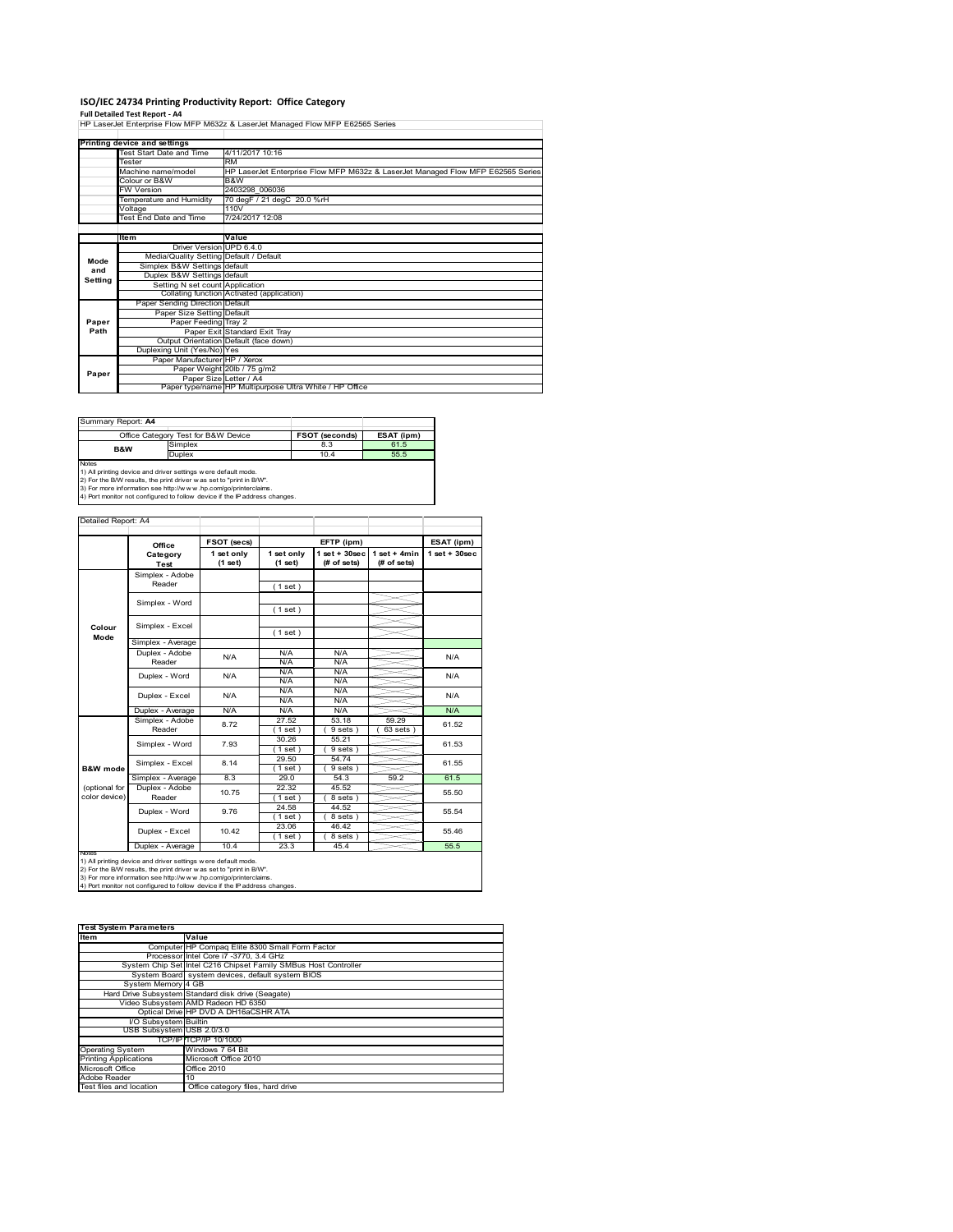# **ISO/IEC 24734 Printing Productivity Report: Office Category**

**Full Detailed Test Report ‐ A4** HP LaserJet Enterprise Flow MFP M632z & LaserJet Managed Flow MFP E62565 Series

|         | Printing device and settings            |                                                                                 |  |  |  |  |
|---------|-----------------------------------------|---------------------------------------------------------------------------------|--|--|--|--|
|         | Test Start Date and Time                | 4/11/2017 10:16                                                                 |  |  |  |  |
|         | Tester                                  | <b>RM</b>                                                                       |  |  |  |  |
|         | Machine name/model                      | HP LaserJet Enterprise Flow MFP M632z & LaserJet Managed Flow MFP E62565 Series |  |  |  |  |
|         | Colour or B&W                           | B&W                                                                             |  |  |  |  |
|         | <b>FW Version</b>                       | 2403298 006036                                                                  |  |  |  |  |
|         | Temperature and Humidity                | 70 degF / 21 degC 20.0 %rH                                                      |  |  |  |  |
|         | Voltage                                 | 110V                                                                            |  |  |  |  |
|         | Test End Date and Time                  | 7/24/2017 12:08                                                                 |  |  |  |  |
|         |                                         |                                                                                 |  |  |  |  |
|         | Item                                    | Value                                                                           |  |  |  |  |
|         | Driver Version UPD 6.4.0                |                                                                                 |  |  |  |  |
| Mode    | Media/Quality Setting Default / Default |                                                                                 |  |  |  |  |
| and     | Simplex B&W Settings default            |                                                                                 |  |  |  |  |
| Setting | Duplex B&W Settings default             |                                                                                 |  |  |  |  |
|         | Setting N set count Application         |                                                                                 |  |  |  |  |
|         |                                         | Collating function Activated (application)                                      |  |  |  |  |
|         | Paper Sending Direction Default         |                                                                                 |  |  |  |  |
|         | Paper Size Setting Default              |                                                                                 |  |  |  |  |
| Paper   | Paper Feeding Tray 2                    |                                                                                 |  |  |  |  |
| Path    |                                         | Paper Exit Standard Exit Tray                                                   |  |  |  |  |
|         |                                         | Output Orientation Default (face down)                                          |  |  |  |  |
|         | Duplexing Unit (Yes/No) Yes             |                                                                                 |  |  |  |  |
|         | Paper Manufacturer HP / Xerox           |                                                                                 |  |  |  |  |
| Paper   |                                         | Paper Weight 20lb / 75 g/m2                                                     |  |  |  |  |
|         |                                         | Paper Size Letter / A4                                                          |  |  |  |  |
|         |                                         | Paper type/name HP Multipurpose Ultra White / HP Office                         |  |  |  |  |

|                | Office Category Test for B&W Device | <b>FSOT (seconds)</b> | ESAT (ipm) |
|----------------|-------------------------------------|-----------------------|------------|
| <b>B&amp;W</b> | Simplex                             | 8.3                   | 61.5       |
|                | <b>Duplex</b>                       | 10.4                  | 55.5       |

1) All printing device and driver settings were default mode.<br>2) For the B/W results, the print driver was set to "print in B/W".<br>3) For more information see http://www.hp.com/go/printerclaims.<br>4) Port monitor not configur

| Detailed Report: A4            |                           |                       |                       |                                   |                               |                    |
|--------------------------------|---------------------------|-----------------------|-----------------------|-----------------------------------|-------------------------------|--------------------|
|                                | Office                    | FSOT (secs)           |                       | EFTP (ipm)                        |                               | ESAT (ipm)         |
|                                | Category<br><b>Test</b>   | 1 set only<br>(1 set) | 1 set only<br>(1 set) | $1$ set + $30$ sec<br>(# of sets) | $1$ set + 4min<br>(# of sets) | $1$ set + $30$ sec |
|                                | Simplex - Adobe<br>Reader |                       | (1 set)               |                                   |                               |                    |
|                                | Simplex - Word            |                       | (1 set)               |                                   |                               |                    |
| Colour                         | Simplex - Excel           |                       |                       |                                   |                               |                    |
| Mode                           | Simplex - Average         |                       | (1 set)               |                                   |                               |                    |
|                                | Duplex - Adobe<br>Reader  | N/A                   | N/A<br>N/A            | N/A<br>N/A                        |                               | N/A                |
|                                | Duplex - Word             | N/A                   | N/A<br>N/A            | N/A<br>N/A                        |                               | N/A                |
|                                | Duplex - Excel            | N/A                   | N/A<br>N/A            | N/A<br>N/A                        |                               | N/A                |
|                                | Duplex - Average          | N/A                   | N/A                   | N/A                               |                               | N/A                |
|                                | Simplex - Adobe<br>Reader | 8.72                  | 27.52<br>$1$ set)     | 53.18<br>$9 sets$ )               | 59.29<br>63 sets )            | 61.52              |
|                                | Simplex - Word            | 7.93                  | 30.26<br>$1$ set $)$  | 55.21<br>9 sets)                  |                               | 61.53              |
| <b>B&amp;W</b> mode            | Simplex - Excel           | 8.14                  | 29.50<br>$1$ set)     | 54.74<br>9 sets)                  |                               | 61.55              |
|                                | Simplex - Average         | 8.3                   | 29.0                  | 54.3                              | 59.2                          | 61.5               |
| (optional for<br>color device) | Duplex - Adobe<br>Reader  | 10.75                 | 22.32<br>$1$ set)     | 45.52<br>8 sets)                  |                               | 55.50              |
|                                | Duplex - Word             | 9.76                  | 24.58<br>$1$ set)     | 44.52<br>8 sets)                  |                               | 55.54              |
|                                | Duplex - Excel            | 10.42                 | 23.06<br>$1$ set)     | 46.42<br>8 sets)                  |                               | 55.46              |
|                                | Duplex - Average          | 10.4                  | 23.3                  | 45.4                              |                               | 55.5               |

notrest<br>1) All printing device and driver settings were default mode.<br>2) For the B/W results, the print driver was set to "print in B/W".<br>3) For more information see http://www.hp.com/go/printerclaims.<br>4) Por more informat

| <b>Test System Parameters</b> |                                                                 |  |  |  |  |
|-------------------------------|-----------------------------------------------------------------|--|--|--|--|
| <b>Item</b>                   | Value                                                           |  |  |  |  |
|                               | Computer HP Compaq Elite 8300 Small Form Factor                 |  |  |  |  |
|                               | Processor Intel Core i7 -3770, 3.4 GHz                          |  |  |  |  |
|                               | System Chip Set Intel C216 Chipset Family SMBus Host Controller |  |  |  |  |
|                               | System Board system devices, default system BIOS                |  |  |  |  |
| System Memory 4 GB            |                                                                 |  |  |  |  |
|                               | Hard Drive Subsystem Standard disk drive (Seagate)              |  |  |  |  |
|                               | Video Subsystem AMD Radeon HD 6350                              |  |  |  |  |
|                               | Optical Drive HP DVD A DH16aCSHR ATA                            |  |  |  |  |
| I/O Subsystem Builtin         |                                                                 |  |  |  |  |
| USB Subsystem USB 2.0/3.0     |                                                                 |  |  |  |  |
|                               | TCP/IP TCP/IP 10/1000                                           |  |  |  |  |
| <b>Operating System</b>       | Windows 7 64 Bit                                                |  |  |  |  |
| <b>Printing Applications</b>  | Microsoft Office 2010                                           |  |  |  |  |
| Microsoft Office              | Office 2010                                                     |  |  |  |  |
| Adobe Reader                  | 10                                                              |  |  |  |  |
| Test files and location       | Office category files, hard drive                               |  |  |  |  |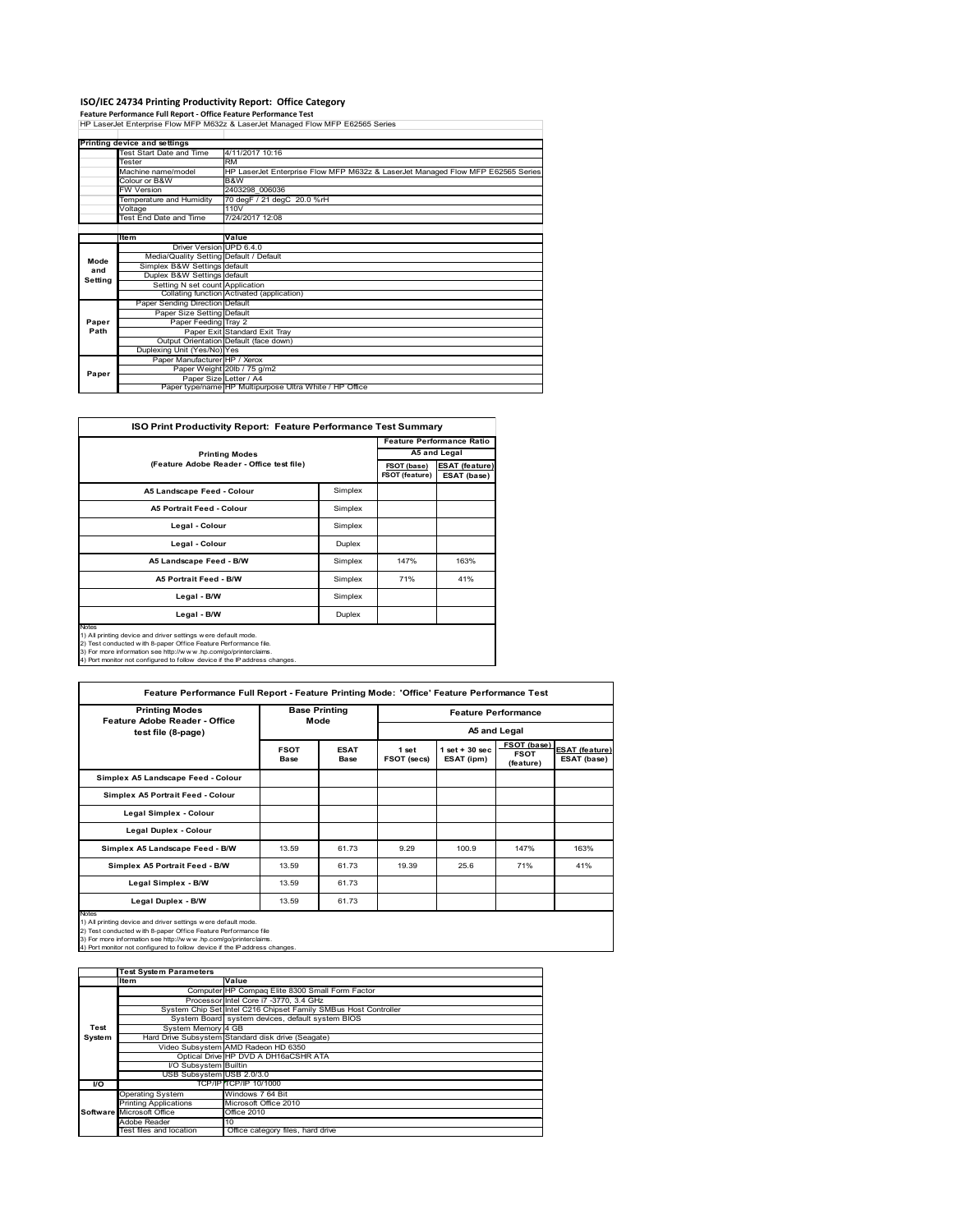**ISO/IEC 24734 Printing Productivity Report: Office Category<br>Feature Performance Full Report - Office Feature Performance Test<br>HP LaserJet Enterprise Flow MFP M632z & LaserJet Managed Flow MFP E62565 Series** 

|         | Printing device and settings            |                                                                                 |  |  |  |  |
|---------|-----------------------------------------|---------------------------------------------------------------------------------|--|--|--|--|
|         | <b>Test Start Date and Time</b>         | 4/11/2017 10:16                                                                 |  |  |  |  |
|         | Tester                                  | <b>RM</b>                                                                       |  |  |  |  |
|         | Machine name/model                      | HP LaserJet Enterprise Flow MFP M632z & LaserJet Managed Flow MFP E62565 Series |  |  |  |  |
|         | Colour or B&W                           | B&W                                                                             |  |  |  |  |
|         | <b>FW Version</b>                       | 2403298 006036                                                                  |  |  |  |  |
|         | Temperature and Humidity                | 70 degF / 21 degC 20.0 %rH                                                      |  |  |  |  |
|         | Voltage                                 | 110V                                                                            |  |  |  |  |
|         | <b>Test End Date and Time</b>           | 7/24/2017 12:08                                                                 |  |  |  |  |
|         |                                         |                                                                                 |  |  |  |  |
|         | Item                                    | Value                                                                           |  |  |  |  |
|         | Driver Version UPD 6.4.0                |                                                                                 |  |  |  |  |
| Mode    | Media/Quality Setting Default / Default |                                                                                 |  |  |  |  |
| and     | Simplex B&W Settings default            |                                                                                 |  |  |  |  |
| Setting | Duplex B&W Settings default             |                                                                                 |  |  |  |  |
|         | Setting N set count Application         |                                                                                 |  |  |  |  |
|         |                                         | Collating function Activated (application)                                      |  |  |  |  |
|         | Paper Sending Direction Default         |                                                                                 |  |  |  |  |
|         | Paper Size Setting Default              |                                                                                 |  |  |  |  |
| Paper   | Paper Feeding Tray 2                    |                                                                                 |  |  |  |  |
| Path    |                                         | Paper Exit Standard Exit Tray                                                   |  |  |  |  |
|         |                                         | Output Orientation Default (face down)                                          |  |  |  |  |
|         | Duplexing Unit (Yes/No) Yes             |                                                                                 |  |  |  |  |
|         | Paper Manufacturer HP / Xerox           |                                                                                 |  |  |  |  |
| Paper   |                                         | Paper Weight 20lb / 75 g/m2                                                     |  |  |  |  |
|         |                                         | Paper Size Letter / A4                                                          |  |  |  |  |
|         |                                         | Paper type/name HP Multipurpose Ultra White / HP Office                         |  |  |  |  |

| <b>ISO Print Productivity Report: Feature Performance Test Summary</b>                                                                                                                                                                                                                            |                                      |                                      |                                  |  |  |
|---------------------------------------------------------------------------------------------------------------------------------------------------------------------------------------------------------------------------------------------------------------------------------------------------|--------------------------------------|--------------------------------------|----------------------------------|--|--|
|                                                                                                                                                                                                                                                                                                   |                                      |                                      | <b>Feature Performance Ratio</b> |  |  |
| <b>Printing Modes</b>                                                                                                                                                                                                                                                                             |                                      |                                      |                                  |  |  |
| (Feature Adobe Reader - Office test file)                                                                                                                                                                                                                                                         | FSOT (base)<br><b>FSOT (feature)</b> | <b>ESAT (feature)</b><br>ESAT (base) |                                  |  |  |
| A5 Landscape Feed - Colour                                                                                                                                                                                                                                                                        | Simplex                              |                                      |                                  |  |  |
| <b>A5 Portrait Feed - Colour</b>                                                                                                                                                                                                                                                                  | Simplex                              |                                      |                                  |  |  |
| Legal - Colour                                                                                                                                                                                                                                                                                    | Simplex                              |                                      |                                  |  |  |
| Legal - Colour                                                                                                                                                                                                                                                                                    | Duplex                               |                                      |                                  |  |  |
| A5 Landscape Feed - B/W                                                                                                                                                                                                                                                                           | Simplex                              | 147%                                 | 163%                             |  |  |
| <b>A5 Portrait Feed - B/W</b>                                                                                                                                                                                                                                                                     | Simplex                              | 71%                                  | 41%                              |  |  |
| Legal - B/W                                                                                                                                                                                                                                                                                       | Simplex                              |                                      |                                  |  |  |
| Legal - B/W                                                                                                                                                                                                                                                                                       | Duplex                               |                                      |                                  |  |  |
| <b>Notes</b><br>1) All printing device and driver settings were default mode.<br>2) Test conducted with 8-paper Office Feature Performance file.<br>3) For more information see http://www.hp.com/go/printerclaims.<br>4) Port monitor not configured to follow device if the IP address changes. |                                      |                                      |                                  |  |  |

| <b>Printing Modes</b><br>Feature Adobe Reader - Office | <b>Base Printing</b><br>Mode |                     | <b>Feature Performance</b><br>A5 and Legal |                                 |                                         |                                      |
|--------------------------------------------------------|------------------------------|---------------------|--------------------------------------------|---------------------------------|-----------------------------------------|--------------------------------------|
| test file (8-page)                                     |                              |                     |                                            |                                 |                                         |                                      |
|                                                        | <b>FSOT</b><br><b>Base</b>   | <b>ESAT</b><br>Base | 1 set<br>FSOT (secs)                       | $1$ set $+30$ sec<br>ESAT (ipm) | FSOT (base)<br><b>FSOT</b><br>(feature) | <b>ESAT (feature)</b><br>ESAT (base) |
| Simplex A5 Landscape Feed - Colour                     |                              |                     |                                            |                                 |                                         |                                      |
| Simplex A5 Portrait Feed - Colour                      |                              |                     |                                            |                                 |                                         |                                      |
| Legal Simplex - Colour                                 |                              |                     |                                            |                                 |                                         |                                      |
| <b>Legal Duplex - Colour</b>                           |                              |                     |                                            |                                 |                                         |                                      |
| Simplex A5 Landscape Feed - B/W                        | 13.59                        | 61.73               | 9.29                                       | 100.9                           | 147%                                    | 163%                                 |
| Simplex A5 Portrait Feed - B/W                         | 13.59                        | 61.73               | 19.39                                      | 25.6                            | 71%                                     | 41%                                  |
| Legal Simplex - B/W                                    | 13.59                        | 61.73               |                                            |                                 |                                         |                                      |
| Legal Duplex - B/W                                     | 13.59                        | 61.73               |                                            |                                 |                                         |                                      |

3) For more information see http://w w w .hp.com/go/printerclaims. 4) Port monitor not configured to follow device if the IP address changes.

|        | <b>Test System Parameters</b> |                                                                 |  |  |  |
|--------|-------------------------------|-----------------------------------------------------------------|--|--|--|
|        | <b>Item</b>                   | Value                                                           |  |  |  |
|        |                               | Computer HP Compaq Elite 8300 Small Form Factor                 |  |  |  |
|        |                               | Processor Intel Core i7 -3770, 3.4 GHz                          |  |  |  |
|        |                               | System Chip Set Intel C216 Chipset Family SMBus Host Controller |  |  |  |
|        |                               | System Board system devices, default system BIOS                |  |  |  |
| Test   | System Memory 4 GB            |                                                                 |  |  |  |
| System |                               | Hard Drive Subsystem Standard disk drive (Seagate)              |  |  |  |
|        |                               | Video Subsystem AMD Radeon HD 6350                              |  |  |  |
|        |                               | Optical Drive HP DVD A DH16aCSHR ATA                            |  |  |  |
|        | <b>VO Subsystem Builtin</b>   |                                                                 |  |  |  |
|        | USB Subsystem USB 2.0/3.0     |                                                                 |  |  |  |
| I/O    |                               | <b>TCP/IP TCP/IP 10/1000</b>                                    |  |  |  |
|        | <b>Operating System</b>       | Windows 7 64 Bit                                                |  |  |  |
|        | <b>Printing Applications</b>  | Microsoft Office 2010                                           |  |  |  |
|        | Software Microsoft Office     | <b>Office 2010</b>                                              |  |  |  |
|        | Adobe Reader                  | 10                                                              |  |  |  |
|        | Test files and location       | Office category files, hard drive                               |  |  |  |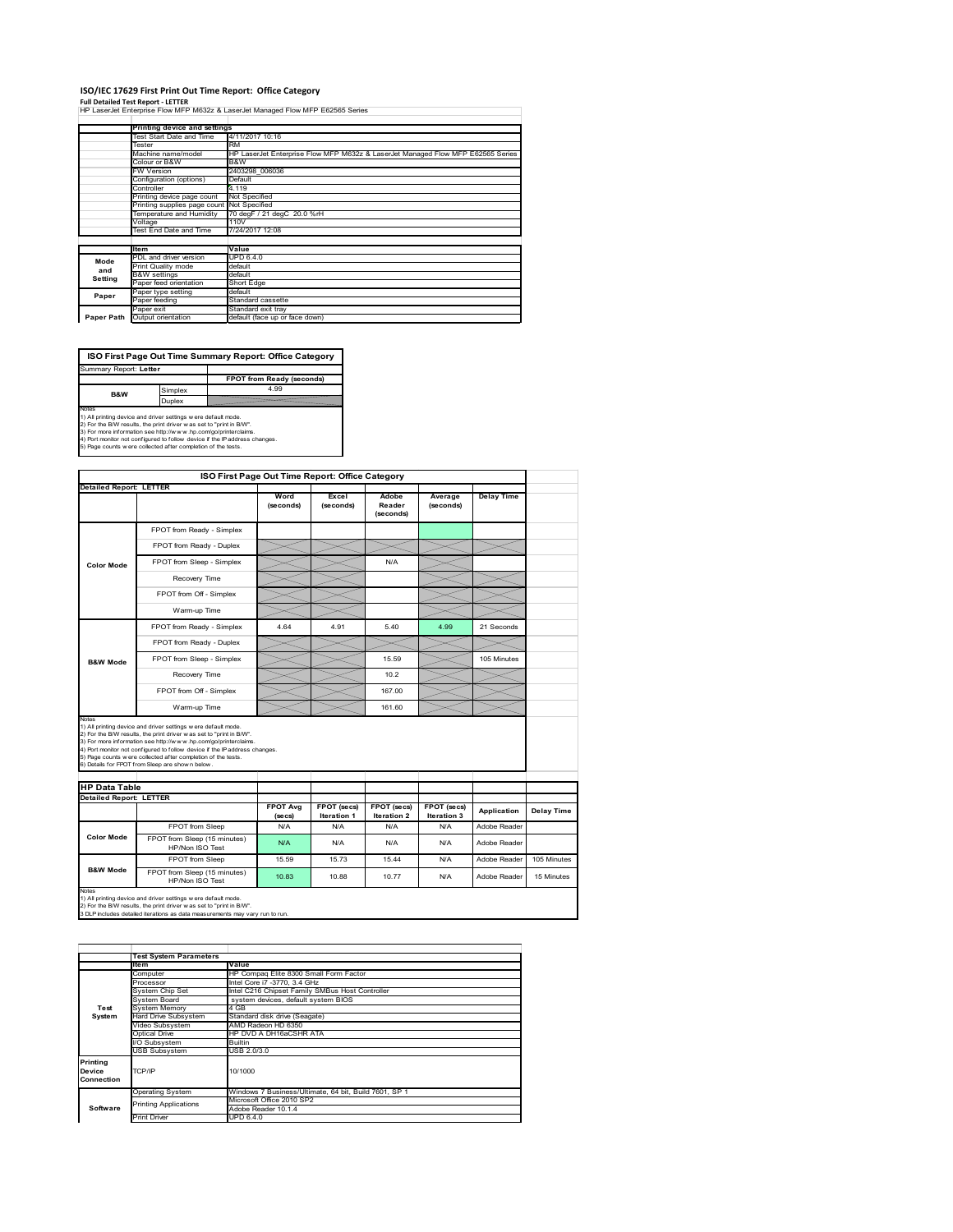#### **ISO/IEC 17629 First Print Out Time Report: Office Category**

**Full Detailed Test Report ‐ LETTER** HP LaserJet Enterprise Flow MFP M632z & LaserJet Managed Flow MFP E62565 Series

|            | Printing device and settings               |                                                                                 |
|------------|--------------------------------------------|---------------------------------------------------------------------------------|
|            | Test Start Date and Time                   | 4/11/2017 10:16                                                                 |
|            | Tester                                     | <b>RM</b>                                                                       |
|            | Machine name/model                         | HP LaserJet Enterprise Flow MFP M632z & LaserJet Managed Flow MFP E62565 Series |
|            | Colour or B&W                              | B&W                                                                             |
|            | FW Version                                 | 2403298 006036                                                                  |
|            | Configuration (options)                    | Default                                                                         |
|            | Controller                                 | 4.119                                                                           |
|            | Printing device page count                 | Not Specified                                                                   |
|            | Printing supplies page count Not Specified |                                                                                 |
|            | Temperature and Humidity                   | 70 degF / 21 degC 20.0 %rH                                                      |
|            | Voltage                                    | 110V                                                                            |
|            | Test End Date and Time                     | 7/24/2017 12:08                                                                 |
|            |                                            |                                                                                 |
|            | <b>Item</b>                                | Value                                                                           |
| Mode       | PDL and driver version                     | UPD 6.4.0                                                                       |
| and        | Print Quality mode                         | default                                                                         |
| Setting    | <b>B&amp;W</b> settings                    | default                                                                         |
|            | Paper feed orientation                     | Short Edge                                                                      |
| Paper      | Paper type setting                         | default                                                                         |
|            | Paper feeding                              | Standard cassette                                                               |
|            | Paper exit                                 | Standard exit tray                                                              |
| Paper Path | Output orientation                         | default (face up or face down)                                                  |

**FPOT from Ready (seconds)**<br>Simplex 4.99 **Duplex**<br>Notes<br>1) All printing device and driver settings were default mode.<br>2) For the BM results, the print driver was set to "print in BM".<br>4) For more information see http://www.hp.com/golprinterclaims.<br>4) Port monitor **ISO First Page Out Time Summary Report: Office Category** t: Letter **B&W**

|                                |                                                                                                                                                                                                                                                                                                                                                                                                             | ISO First Page Out Time Report: Office Category |                            |                              |                            |                   |             |
|--------------------------------|-------------------------------------------------------------------------------------------------------------------------------------------------------------------------------------------------------------------------------------------------------------------------------------------------------------------------------------------------------------------------------------------------------------|-------------------------------------------------|----------------------------|------------------------------|----------------------------|-------------------|-------------|
| <b>Detailed Report: LETTER</b> |                                                                                                                                                                                                                                                                                                                                                                                                             | Word<br>(seconds)                               | Excel<br>(seconds)         | Adobe<br>Reader<br>(seconds) | Average<br>(seconds)       | <b>Delay Time</b> |             |
|                                | FPOT from Ready - Simplex                                                                                                                                                                                                                                                                                                                                                                                   |                                                 |                            |                              |                            |                   |             |
|                                | FPOT from Ready - Duplex                                                                                                                                                                                                                                                                                                                                                                                    |                                                 |                            |                              |                            |                   |             |
| <b>Color Mode</b>              | FPOT from Sleep - Simplex                                                                                                                                                                                                                                                                                                                                                                                   |                                                 |                            | N/A                          |                            |                   |             |
|                                | Recovery Time                                                                                                                                                                                                                                                                                                                                                                                               |                                                 |                            |                              |                            |                   |             |
|                                | FPOT from Off - Simplex                                                                                                                                                                                                                                                                                                                                                                                     |                                                 |                            |                              |                            |                   |             |
|                                | Warm-up Time                                                                                                                                                                                                                                                                                                                                                                                                |                                                 |                            |                              |                            |                   |             |
|                                | FPOT from Ready - Simplex                                                                                                                                                                                                                                                                                                                                                                                   | 4.64                                            | 4.91                       | 5.40                         | 4.99                       | 21 Seconds        |             |
|                                | FPOT from Ready - Duplex                                                                                                                                                                                                                                                                                                                                                                                    |                                                 |                            |                              |                            |                   |             |
| <b>B&amp;W Mode</b>            | FPOT from Sleep - Simplex                                                                                                                                                                                                                                                                                                                                                                                   |                                                 |                            | 15.59                        |                            | 105 Minutes       |             |
|                                | Recovery Time                                                                                                                                                                                                                                                                                                                                                                                               |                                                 |                            | 10.2 <sub>5</sub>            |                            |                   |             |
|                                | FPOT from Off - Simplex                                                                                                                                                                                                                                                                                                                                                                                     |                                                 |                            | 167.00                       |                            |                   |             |
|                                |                                                                                                                                                                                                                                                                                                                                                                                                             |                                                 |                            |                              |                            |                   |             |
| Notes                          | Warm-up Time                                                                                                                                                                                                                                                                                                                                                                                                |                                                 |                            | 161.60                       |                            |                   |             |
| <b>HP Data Table</b>           | 1) All printing device and driver settings w ere default mode.<br>2) For the B/W results, the print driver was set to "print in B/W".<br>3) For more information see http://www.hp.com/go/printerclaims.<br>4) Port monitor not configured to follow device if the IP address changes.<br>5) Page counts w ere collected after completion of the tests.<br>6) Details for FPOT from Sleep are show n below. |                                                 |                            |                              |                            |                   |             |
| <b>Detailed Report: LETTER</b> |                                                                                                                                                                                                                                                                                                                                                                                                             |                                                 |                            |                              |                            |                   |             |
|                                |                                                                                                                                                                                                                                                                                                                                                                                                             | <b>FPOT Avg</b><br>(se cs)                      | FPOT (secs)<br>Iteration 1 | FPOT (secs)<br>Iteration 2   | FPOT (secs)<br>Iteration 3 | Application       | Delay Time  |
|                                | FPOT from Sleep                                                                                                                                                                                                                                                                                                                                                                                             | N/A                                             | N/A                        | N/A                          | N/A                        | Adobe Reader      |             |
| <b>Color Mode</b>              | FPOT from Sleep (15 minutes)<br>HP/Non ISO Test                                                                                                                                                                                                                                                                                                                                                             | N/A                                             | N/A                        | N/A                          | N/A                        | Adobe Reader      |             |
| <b>B&amp;W Mode</b>            | FPOT from Sleep                                                                                                                                                                                                                                                                                                                                                                                             | 15.59                                           | 15.73                      | 15.44                        | N/A                        | Adobe Reader      | 105 Minutes |

1) All printing device and driver settings w ere default mode.<br>2) For the B/W results, the print driver w as set to "print in B/W".<br>3 DLP includes detailed iterations as data measurements may vary run to run.

|                                  | <b>Test System Parameters</b> |                                                       |
|----------------------------------|-------------------------------|-------------------------------------------------------|
|                                  | Item                          | Value                                                 |
|                                  | Computer                      | HP Compag Elite 8300 Small Form Factor                |
|                                  | Processor                     | Intel Core i7 -3770, 3.4 GHz                          |
|                                  | System Chip Set               | Intel C216 Chipset Family SMBus Host Controller       |
|                                  | <b>System Board</b>           | system devices, default system BIOS                   |
| Test                             | <b>System Memory</b>          | 4 GB                                                  |
| System                           | <b>Hard Drive Subsystem</b>   | Standard disk drive (Seagate)                         |
|                                  | Video Subsystem               | AMD Radeon HD 6350                                    |
|                                  | Optical Drive                 | HP DVD A DH16aCSHR ATA                                |
|                                  | I/O Subsystem                 | <b>Builtin</b>                                        |
|                                  | <b>USB Subsystem</b>          | USB 2.0/3.0                                           |
| Printing<br>Device<br>Connection | TCP/IP                        | 10/1000                                               |
|                                  |                               |                                                       |
|                                  | Operating System              | Windows 7 Business/Ultimate, 64 bit, Build 7601, SP 1 |
|                                  | <b>Printing Applications</b>  | Microsoft Office 2010 SP2                             |
| Software                         |                               | Adobe Reader 10.1.4                                   |
|                                  | <b>Print Driver</b>           | UPD 6.4.0                                             |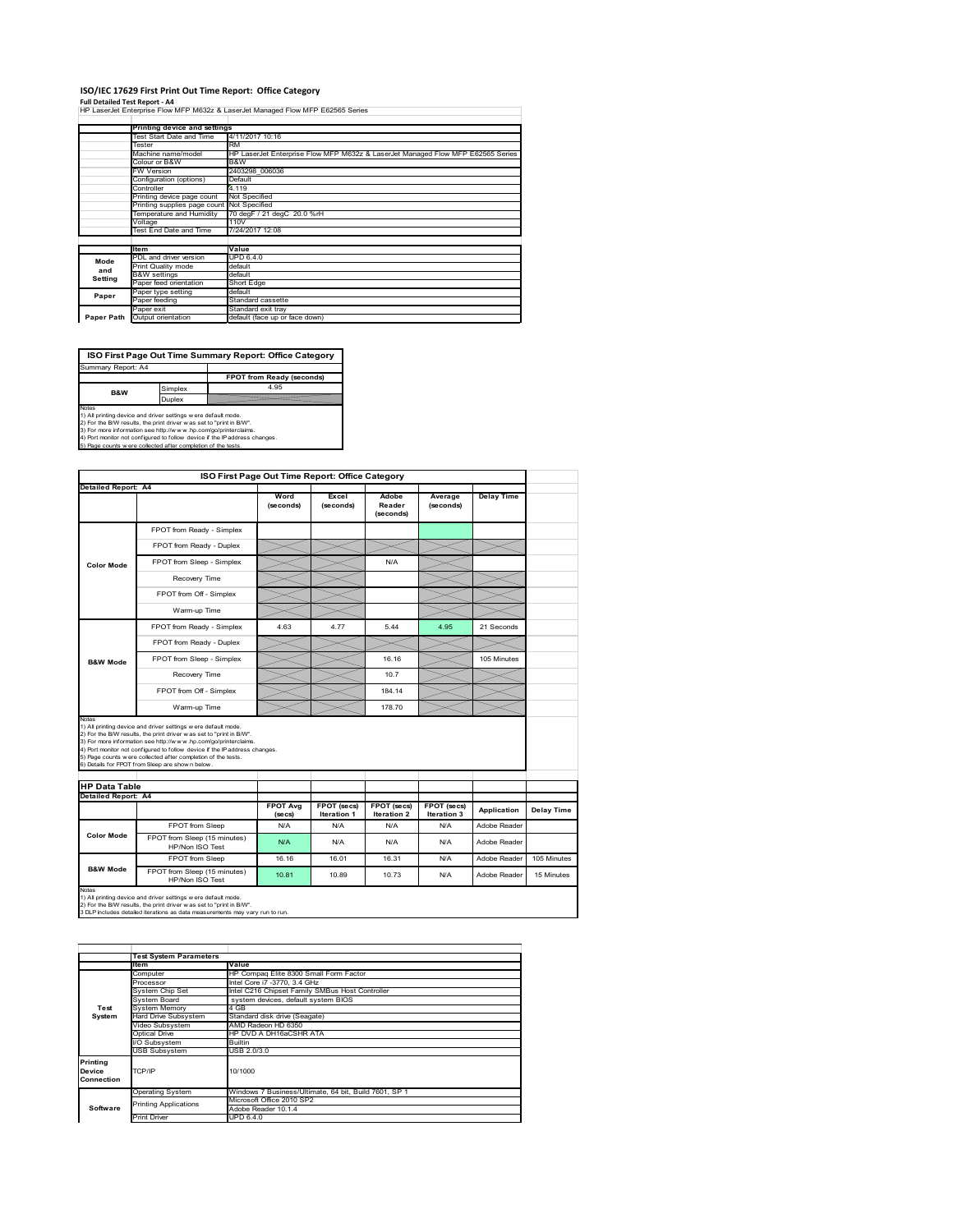#### **ISO/IEC 17629 First Print Out Time Report: Office Category**

**Full Detailed Test Report ‐ A4** HP LaserJet Enterprise Flow MFP M632z & LaserJet Managed Flow MFP E62565 Series

|            | Printing device and settings               |                                                                                 |
|------------|--------------------------------------------|---------------------------------------------------------------------------------|
|            | Test Start Date and Time                   | 4/11/2017 10:16                                                                 |
|            | Tester                                     | <b>RM</b>                                                                       |
|            | Machine name/model                         | HP LaserJet Enterprise Flow MFP M632z & LaserJet Managed Flow MFP E62565 Series |
|            | Colour or B&W                              | B&W                                                                             |
|            | <b>FW Version</b>                          | 2403298 006036                                                                  |
|            | Configuration (options)                    | Default                                                                         |
|            | Controller                                 | 4.119                                                                           |
|            | Printing device page count                 | Not Specified                                                                   |
|            | Printing supplies page count Not Specified |                                                                                 |
|            | Temperature and Humidity                   | 70 degF / 21 degC 20.0 %rH                                                      |
|            | Voltage                                    | 110V                                                                            |
|            | Test End Date and Time                     | 7/24/2017 12:08                                                                 |
|            |                                            |                                                                                 |
|            | <b>Item</b>                                | Value                                                                           |
| Mode       | PDL and driver version                     | <b>UPD 6.4.0</b>                                                                |
| and        | Print Quality mode                         | default                                                                         |
| Setting    | <b>B&amp;W</b> settings                    | default                                                                         |
|            | Paper feed orientation                     | Short Edge                                                                      |
| Paper      | Paper type setting                         | default                                                                         |
|            | Paper feeding                              | Standard cassette                                                               |
|            | Paper exit                                 | Standard exit tray                                                              |
| Paper Path | Output orientation                         | default (face up or face down)                                                  |

**ISO First Page Out Time Summary Report: Office Category**

**FPOT from Ready (seconds)** Simplex 4.95 Duplex Notes<br>1) All printing device and driver settings were default mode.<br>2) For the BAV results, the print driver was set to "print in BAV".<br>3) For more information see http://www.hp.com/golprinterclaims.<br>4) Port monitor not co Summary Report: A4 **B&W**

|                               |                                                                                                                                                                                                                                                                                                                                                                                                              |                            | ISO First Page Out Time Report: Office Category |                                   |                            |                   |             |
|-------------------------------|--------------------------------------------------------------------------------------------------------------------------------------------------------------------------------------------------------------------------------------------------------------------------------------------------------------------------------------------------------------------------------------------------------------|----------------------------|-------------------------------------------------|-----------------------------------|----------------------------|-------------------|-------------|
| Detailed Report: A4           |                                                                                                                                                                                                                                                                                                                                                                                                              | Word<br>(seconds)          | Excel<br>(seconds)                              | Adobe<br>Reader<br>(seconds)      | Average<br>(seconds)       | <b>Delay Time</b> |             |
|                               | FPOT from Ready - Simplex                                                                                                                                                                                                                                                                                                                                                                                    |                            |                                                 |                                   |                            |                   |             |
|                               | FPOT from Ready - Duplex                                                                                                                                                                                                                                                                                                                                                                                     |                            |                                                 |                                   |                            |                   |             |
| <b>Color Mode</b>             | FPOT from Sleep - Simplex                                                                                                                                                                                                                                                                                                                                                                                    |                            |                                                 | N/A                               |                            |                   |             |
|                               | Recovery Time                                                                                                                                                                                                                                                                                                                                                                                                |                            |                                                 |                                   |                            |                   |             |
|                               | FPOT from Off - Simplex                                                                                                                                                                                                                                                                                                                                                                                      |                            |                                                 |                                   |                            |                   |             |
|                               | Warm-up Time                                                                                                                                                                                                                                                                                                                                                                                                 |                            |                                                 |                                   |                            |                   |             |
|                               | FPOT from Ready - Simplex                                                                                                                                                                                                                                                                                                                                                                                    | 4.63                       | 4.77                                            | 544                               | 4.95                       | 21 Seconds        |             |
|                               | FPOT from Ready - Duplex                                                                                                                                                                                                                                                                                                                                                                                     |                            |                                                 |                                   |                            |                   |             |
| <b>B&amp;W Mode</b>           | FPOT from Sleep - Simplex                                                                                                                                                                                                                                                                                                                                                                                    |                            |                                                 | 16 16                             |                            | 105 Minutes       |             |
|                               | Recovery Time                                                                                                                                                                                                                                                                                                                                                                                                |                            |                                                 | 10.7                              |                            |                   |             |
|                               |                                                                                                                                                                                                                                                                                                                                                                                                              |                            |                                                 |                                   |                            |                   |             |
|                               | FPOT from Off - Simplex                                                                                                                                                                                                                                                                                                                                                                                      |                            |                                                 | 184.14                            |                            |                   |             |
|                               | Warm-up Time                                                                                                                                                                                                                                                                                                                                                                                                 |                            |                                                 | 178.70                            |                            |                   |             |
| Notes<br><b>HP Data Table</b> | 1) All printing device and driver settings w ere default mode.<br>2) For the B/W results, the print driver w as set to "print in B/W".<br>3) For more information see http://www.hp.com/go/printerclaims.<br>4) Port monitor not configured to follow device if the IP address changes.<br>5) Page counts w ere collected after completion of the tests.<br>6) Details for FPOT from Sleep are show n below. |                            |                                                 |                                   |                            |                   |             |
| <b>Detailed Report: A4</b>    |                                                                                                                                                                                                                                                                                                                                                                                                              |                            |                                                 |                                   |                            |                   |             |
|                               |                                                                                                                                                                                                                                                                                                                                                                                                              | <b>FPOT Avg</b><br>(se cs) | FPOT (secs)<br><b>Iteration 1</b>               | FPOT (secs)<br><b>Iteration 2</b> | FPOT (secs)<br>Iteration 3 | Application       | Delay Time  |
|                               | FPOT from Sleep                                                                                                                                                                                                                                                                                                                                                                                              | N/A                        | N/A                                             | N/A                               | N/A                        | Adobe Reader      |             |
| <b>Color Mode</b>             | FPOT from Sleep (15 minutes)<br>HP/Non ISO Test                                                                                                                                                                                                                                                                                                                                                              | N/A                        | N/A                                             | N/A                               | N/A                        | Adobe Reader      |             |
| <b>B&amp;W Mode</b>           | FPOT from Sleep                                                                                                                                                                                                                                                                                                                                                                                              | 16.16                      | 16.01                                           | 16.31                             | N/A                        | Adobe Reader      | 105 Minutes |

1) All printing device and driver settings w ere default mode.<br>2) For the B/W results, the print driver w as set to "print in B/W".<br>3 DLP includes detailed iterations as data measurements may vary run to run.

|                         | Value                                                                        |  |  |  |
|-------------------------|------------------------------------------------------------------------------|--|--|--|
| Computer                | HP Compag Elite 8300 Small Form Factor                                       |  |  |  |
| Processor               | Intel Core i7 -3770, 3.4 GHz                                                 |  |  |  |
| System Chip Set         | Intel C216 Chipset Family SMBus Host Controller                              |  |  |  |
| System Board            | system devices, default system BIOS                                          |  |  |  |
| <b>System Memory</b>    | 4 GB                                                                         |  |  |  |
| Hard Drive Subsystem    | Standard disk drive (Seagate)                                                |  |  |  |
| Video Subsystem         | AMD Radeon HD 6350                                                           |  |  |  |
| Optical Drive           | HP DVD A DH16aCSHR ATA                                                       |  |  |  |
| I/O Subsystem           | <b>Builtin</b>                                                               |  |  |  |
| <b>USB Subsystem</b>    | USB 2.0/3.0                                                                  |  |  |  |
|                         |                                                                              |  |  |  |
| TCP/IP                  | 10/1000                                                                      |  |  |  |
|                         |                                                                              |  |  |  |
| <b>Operating System</b> | Windows 7 Business/Ultimate, 64 bit, Build 7601, SP 1                        |  |  |  |
|                         | Microsoft Office 2010 SP2                                                    |  |  |  |
|                         | Adobe Reader 10.1.4                                                          |  |  |  |
| <b>Print Driver</b>     | UPD 6.4.0                                                                    |  |  |  |
|                         | <b>Test System Parameters</b><br><b>Item</b><br><b>Printing Applications</b> |  |  |  |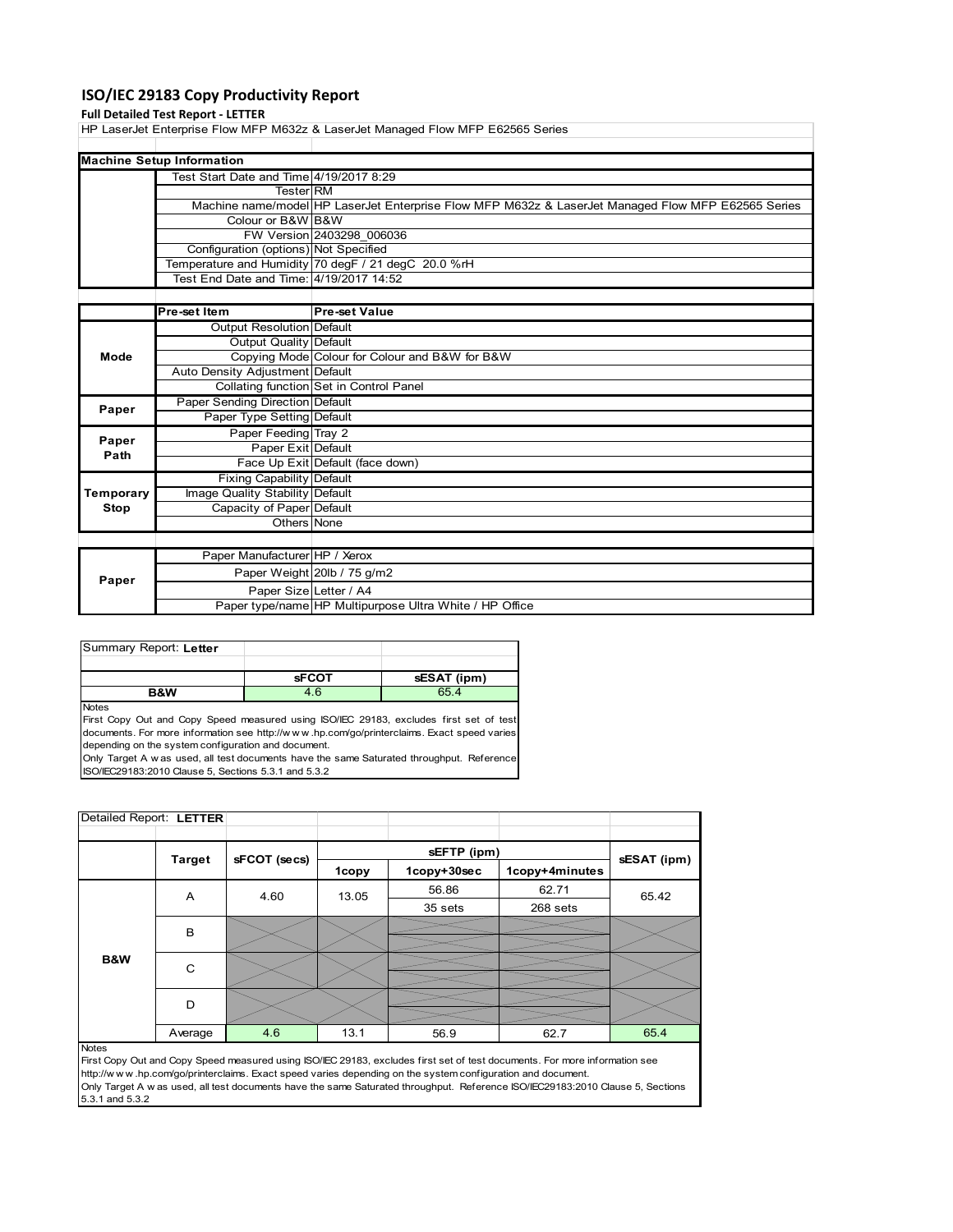# **ISO/IEC 29183 Copy Productivity Report**

### **Full Detailed Test Report ‐ LETTER**

HP LaserJet Enterprise Flow MFP M632z & LaserJet Managed Flow MFP E62565 Series

| <b>Machine Setup Information</b>        |                                                                                                    |
|-----------------------------------------|----------------------------------------------------------------------------------------------------|
| Test Start Date and Time 4/19/2017 8:29 |                                                                                                    |
| TesterIRM                               |                                                                                                    |
|                                         | Machine name/model HP LaserJet Enterprise Flow MFP M632z & LaserJet Managed Flow MFP E62565 Series |
| Colour or B&W B&W                       |                                                                                                    |
|                                         | FW Version 2403298 006036                                                                          |
| Configuration (options) Not Specified   |                                                                                                    |
|                                         | Temperature and Humidity 70 degF / 21 degC 20.0 %rH                                                |
| Test End Date and Time: 4/19/2017 14:52 |                                                                                                    |

|           | Pre-set Item                     | <b>Pre-set Value</b>                                    |
|-----------|----------------------------------|---------------------------------------------------------|
|           | Output Resolution Default        |                                                         |
|           | Output Quality Default           |                                                         |
| Mode      |                                  | Copying Mode Colour for Colour and B&W for B&W          |
|           | Auto Density Adjustment Default  |                                                         |
|           |                                  | Collating function Set in Control Panel                 |
| Paper     | Paper Sending Direction Default  |                                                         |
|           | Paper Type Setting Default       |                                                         |
| Paper     | Paper Feeding Tray 2             |                                                         |
| Path      | Paper Exit Default               |                                                         |
|           |                                  | Face Up Exit Default (face down)                        |
|           | <b>Fixing Capability Default</b> |                                                         |
| Temporary | Image Quality Stability Default  |                                                         |
| Stop      | Capacity of Paper Default        |                                                         |
|           | Others None                      |                                                         |
|           |                                  |                                                         |
|           | Paper Manufacturer HP / Xerox    |                                                         |
| Paper     |                                  | Paper Weight 20lb / 75 g/m2                             |
|           | Paper Size Letter / A4           |                                                         |
|           |                                  | Paper type/name HP Multipurpose Ultra White / HP Office |

| Summary Report: Letter |              |             |
|------------------------|--------------|-------------|
|                        |              |             |
|                        | <b>sFCOT</b> | sESAT (ipm) |
| <b>B&amp;W</b>         | 4.6          | 65.4        |
|                        |              |             |

First Copy Out and Copy Speed measured using ISO/IEC 29183, excludes first set of test documents. For more information see http://w w w .hp.com/go/printerclaims. Exact speed varies depending on the system configuration and document.

Only Target A w as used, all test documents have the same Saturated throughput. Reference ISO/IEC29183:2010 Clause 5, Sections 5.3.1 and 5.3.2

| Detailed Report: LETTER |               |              |       |             |                |             |
|-------------------------|---------------|--------------|-------|-------------|----------------|-------------|
|                         |               |              |       | sEFTP (ipm) |                |             |
|                         | <b>Target</b> | sFCOT (secs) | 1copy | 1copy+30sec | 1copy+4minutes | sESAT (ipm) |
|                         | A             | 4.60         | 13.05 | 56.86       | 62.71          | 65.42       |
|                         |               |              |       | 35 sets     | 268 sets       |             |
|                         | B             |              |       |             |                |             |
|                         |               |              |       |             |                |             |
| B&W                     | C             |              |       |             |                |             |
|                         |               |              |       |             |                |             |
|                         | D             |              |       |             |                |             |
|                         |               |              |       |             |                |             |
|                         | Average       | 4.6          | 13.1  | 56.9        | 62.7           | 65.4        |

Notes

First Copy Out and Copy Speed measured using ISO/IEC 29183, excludes first set of test documents. For more information see http://w w w .hp.com/go/printerclaims. Exact speed varies depending on the system configuration and document. Only Target A w as used, all test documents have the same Saturated throughput. Reference ISO/IEC29183:2010 Clause 5, Sections 5.3.1 and 5.3.2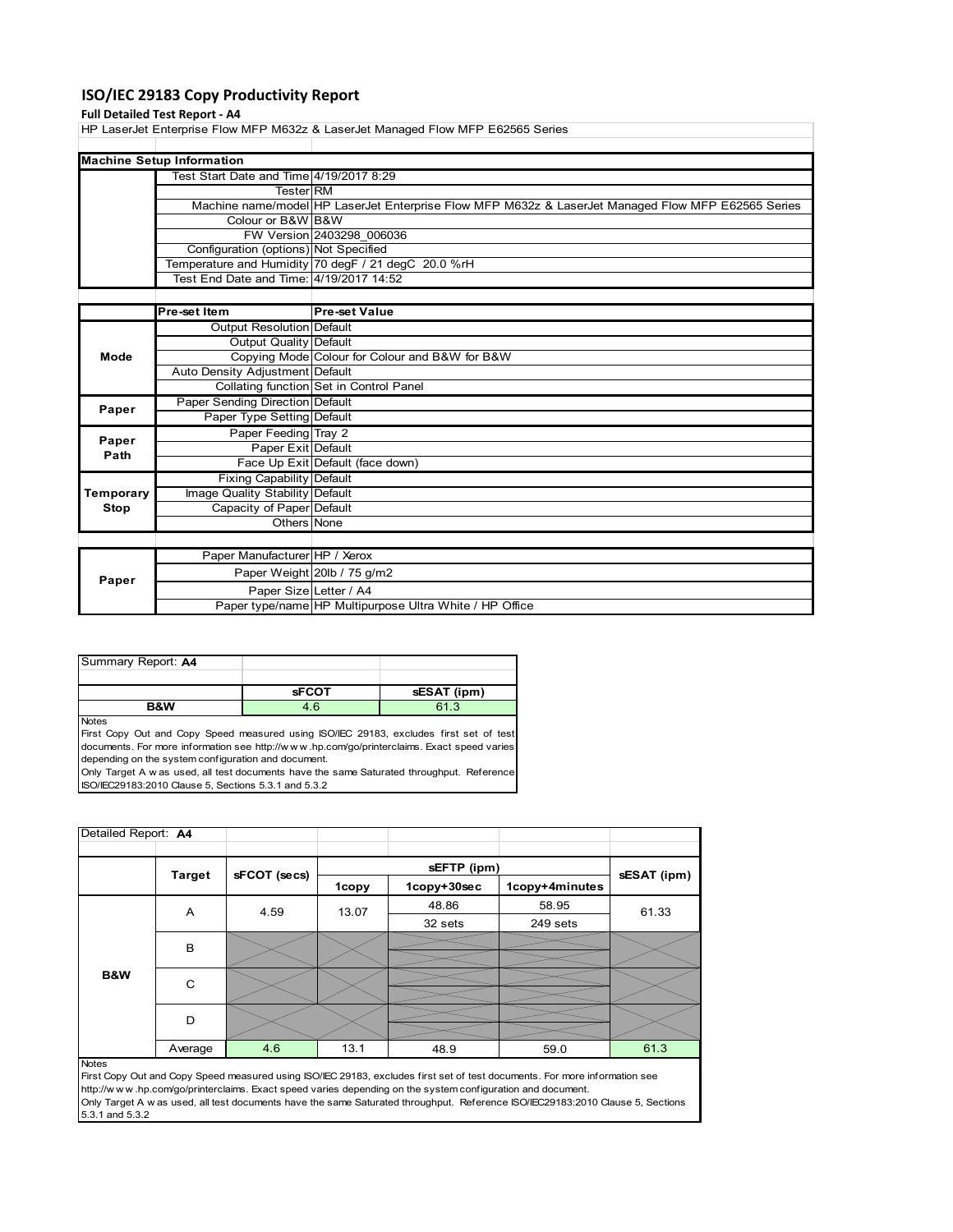# **ISO/IEC 29183 Copy Productivity Report**

#### **Full Detailed Test Report ‐ A4**

HP LaserJet Enterprise Flow MFP M632z & LaserJet Managed Flow MFP E62565 Series

| <b>Machine Setup Information</b>        |                                                                                                    |
|-----------------------------------------|----------------------------------------------------------------------------------------------------|
| Test Start Date and Time 4/19/2017 8:29 |                                                                                                    |
| <b>Tester RM</b>                        |                                                                                                    |
|                                         | Machine name/model HP LaserJet Enterprise Flow MFP M632z & LaserJet Managed Flow MFP E62565 Series |
| Colour or B&W B&W                       |                                                                                                    |
|                                         | FW Version 2403298 006036                                                                          |
| Configuration (options) Not Specified   |                                                                                                    |
|                                         | Temperature and Humidity 70 degF / 21 degC 20.0 %rH                                                |
| Test End Date and Time: 4/19/2017 14:52 |                                                                                                    |

|           | Pre-set Item                     | <b>Pre-set Value</b>                                    |
|-----------|----------------------------------|---------------------------------------------------------|
|           | Output Resolution Default        |                                                         |
|           | Output Quality Default           |                                                         |
| Mode      |                                  | Copying Mode Colour for Colour and B&W for B&W          |
|           | Auto Density Adjustment Default  |                                                         |
|           |                                  | Collating function Set in Control Panel                 |
| Paper     | Paper Sending Direction Default  |                                                         |
|           | Paper Type Setting Default       |                                                         |
| Paper     | Paper Feeding Tray 2             |                                                         |
| Path      | Paper Exit Default               |                                                         |
|           |                                  | Face Up Exit Default (face down)                        |
|           | <b>Fixing Capability Default</b> |                                                         |
| Temporary | Image Quality Stability Default  |                                                         |
| Stop      | Capacity of Paper Default        |                                                         |
|           | Others None                      |                                                         |
|           |                                  |                                                         |
|           | Paper Manufacturer HP / Xerox    |                                                         |
| Paper     |                                  | Paper Weight 20lb / 75 g/m2                             |
|           | Paper Size Letter / A4           |                                                         |
|           |                                  | Paper type/name HP Multipurpose Ultra White / HP Office |

| Summary Report: A4 |              |             |
|--------------------|--------------|-------------|
|                    |              |             |
|                    | <b>sFCOT</b> | sESAT (ipm) |
| <b>B&amp;W</b>     | 4.6          | 61.3        |

Notes

First Copy Out and Copy Speed measured using ISO/IEC 29183, excludes first set of test documents. For more information see http://w w w .hp.com/go/printerclaims. Exact speed varies depending on the system configuration and document. Only Target A w as used, all test documents have the same Saturated throughput. Reference

ISO/IEC29183:2010 Clause 5, Sections 5.3.1 and 5.3.2

| Detailed Report: A4 |               |              |       |             |                |             |
|---------------------|---------------|--------------|-------|-------------|----------------|-------------|
|                     |               |              |       | sEFTP (ipm) |                |             |
|                     | <b>Target</b> | sFCOT (secs) | 1copy | 1copy+30sec | 1copy+4minutes | sESAT (ipm) |
| <b>B&amp;W</b>      | Α             | 4.59         | 13.07 | 48.86       | 58.95          | 61.33       |
|                     |               |              |       | 32 sets     | 249 sets       |             |
|                     | в             |              |       |             |                |             |
|                     | $\mathsf{C}$  |              |       |             |                |             |
|                     | D             |              |       |             |                |             |
|                     | Average       | 4.6          | 13.1  | 48.9        | 59.0           | 61.3        |
| <b>Notes</b>        |               |              |       |             |                |             |

First Copy Out and Copy Speed measured using ISO/IEC 29183, excludes first set of test documents. For more information see http://w w w .hp.com/go/printerclaims. Exact speed varies depending on the system configuration and document. Only Target A w as used, all test documents have the same Saturated throughput. Reference ISO/IEC29183:2010 Clause 5, Sections 5.3.1 and 5.3.2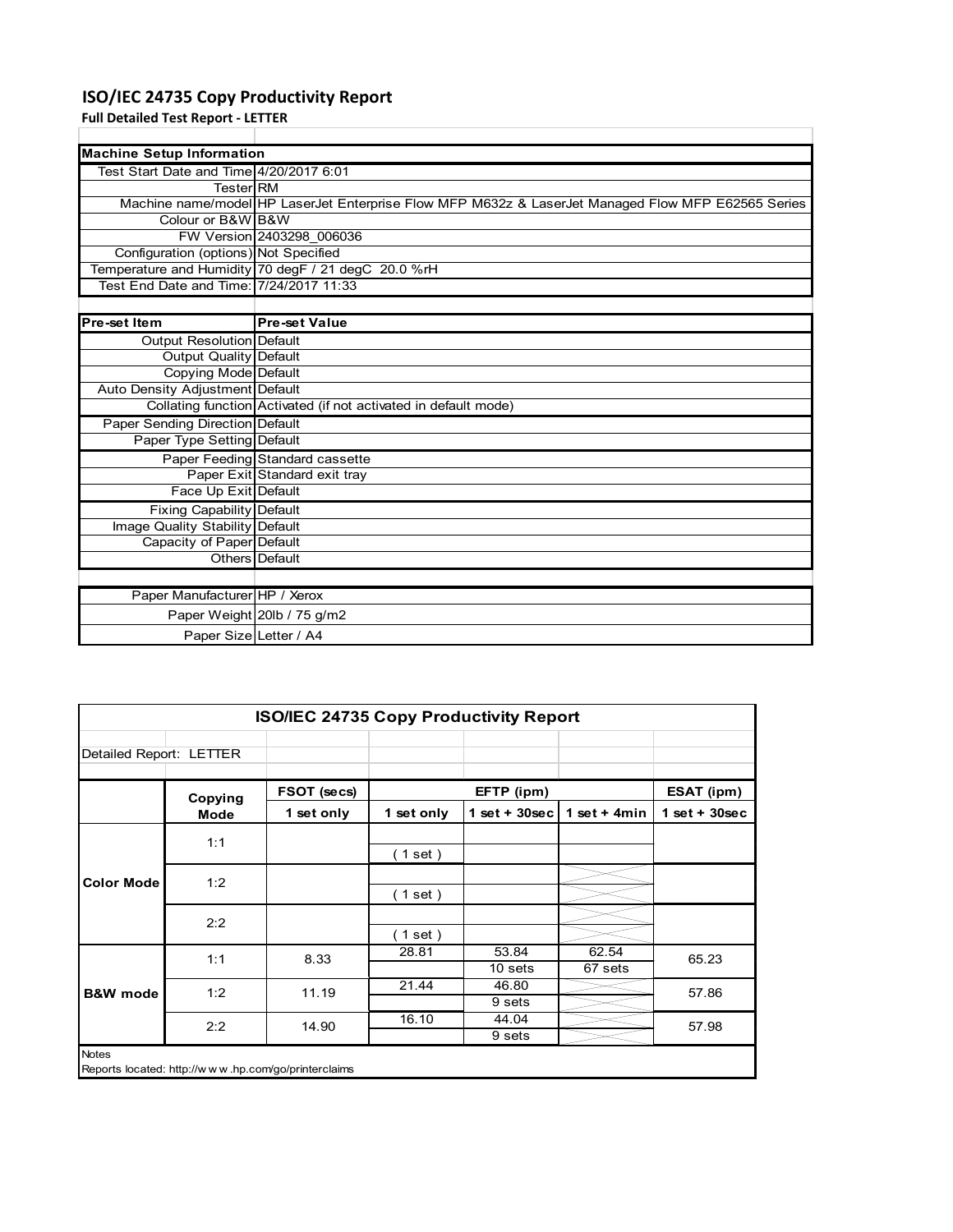# **ISO/IEC 24735 Copy Productivity Report**

**Full Detailed Test Report ‐ LETTER**

| <b>Machine Setup Information</b>        |                                                                                                    |
|-----------------------------------------|----------------------------------------------------------------------------------------------------|
| Test Start Date and Time 4/20/2017 6:01 |                                                                                                    |
| <b>Tester RM</b>                        |                                                                                                    |
|                                         | Machine name/model HP LaserJet Enterprise Flow MFP M632z & LaserJet Managed Flow MFP E62565 Series |
| Colour or B&W B&W                       |                                                                                                    |
|                                         | FW Version 2403298 006036                                                                          |
| Configuration (options) Not Specified   |                                                                                                    |
|                                         | Temperature and Humidity 70 degF / 21 degC 20.0 %rH                                                |
| Test End Date and Time: 7/24/2017 11:33 |                                                                                                    |
|                                         |                                                                                                    |
| Pre-set Item                            | <b>Pre-set Value</b>                                                                               |
| Output Resolution Default               |                                                                                                    |
| Output Quality Default                  |                                                                                                    |
| Copying Mode Default                    |                                                                                                    |
| Auto Density Adjustment Default         |                                                                                                    |
|                                         | Collating function Activated (if not activated in default mode)                                    |
| Paper Sending Direction Default         |                                                                                                    |
| Paper Type Setting Default              |                                                                                                    |
|                                         | Paper Feeding Standard cassette                                                                    |
|                                         | Paper Exit Standard exit tray                                                                      |
| Face Up Exit Default                    |                                                                                                    |
| <b>Fixing Capability Default</b>        |                                                                                                    |
| Image Quality Stability Default         |                                                                                                    |
| Capacity of Paper Default               |                                                                                                    |
|                                         | Others Default                                                                                     |
|                                         |                                                                                                    |
| Paper Manufacturer HP / Xerox           |                                                                                                    |
|                                         | Paper Weight 20lb / 75 g/m2                                                                        |
|                                         | Paper Size Letter / A4                                                                             |

| ISO/IEC 24735 Copy Productivity Report |             |             |            |                  |                  |                 |  |  |
|----------------------------------------|-------------|-------------|------------|------------------|------------------|-----------------|--|--|
| Detailed Report: LETTER                |             |             |            |                  |                  |                 |  |  |
|                                        | Copying     | FSOT (secs) |            | EFTP (ipm)       |                  | ESAT (ipm)      |  |  |
|                                        | <b>Mode</b> | 1 set only  | 1 set only | $1$ set + 30sec  | 1 set + $4min$   | $1$ set + 30sec |  |  |
| <b>Color Mode</b>                      | 1:1         |             | (1 set )   |                  |                  |                 |  |  |
|                                        | 1:2         |             | (1 set)    |                  |                  |                 |  |  |
|                                        | 2:2         |             | (1 set)    |                  |                  |                 |  |  |
|                                        | 1:1         | 8.33        | 28.81      | 53.84<br>10 sets | 62.54<br>67 sets | 65.23           |  |  |
| <b>B&amp;W</b> mode                    | 1:2         | 11.19       | 21.44      | 46.80<br>9 sets  |                  | 57.86           |  |  |
|                                        | 2:2         | 14.90       | 16.10      | 44.04<br>9 sets  |                  | 57.98           |  |  |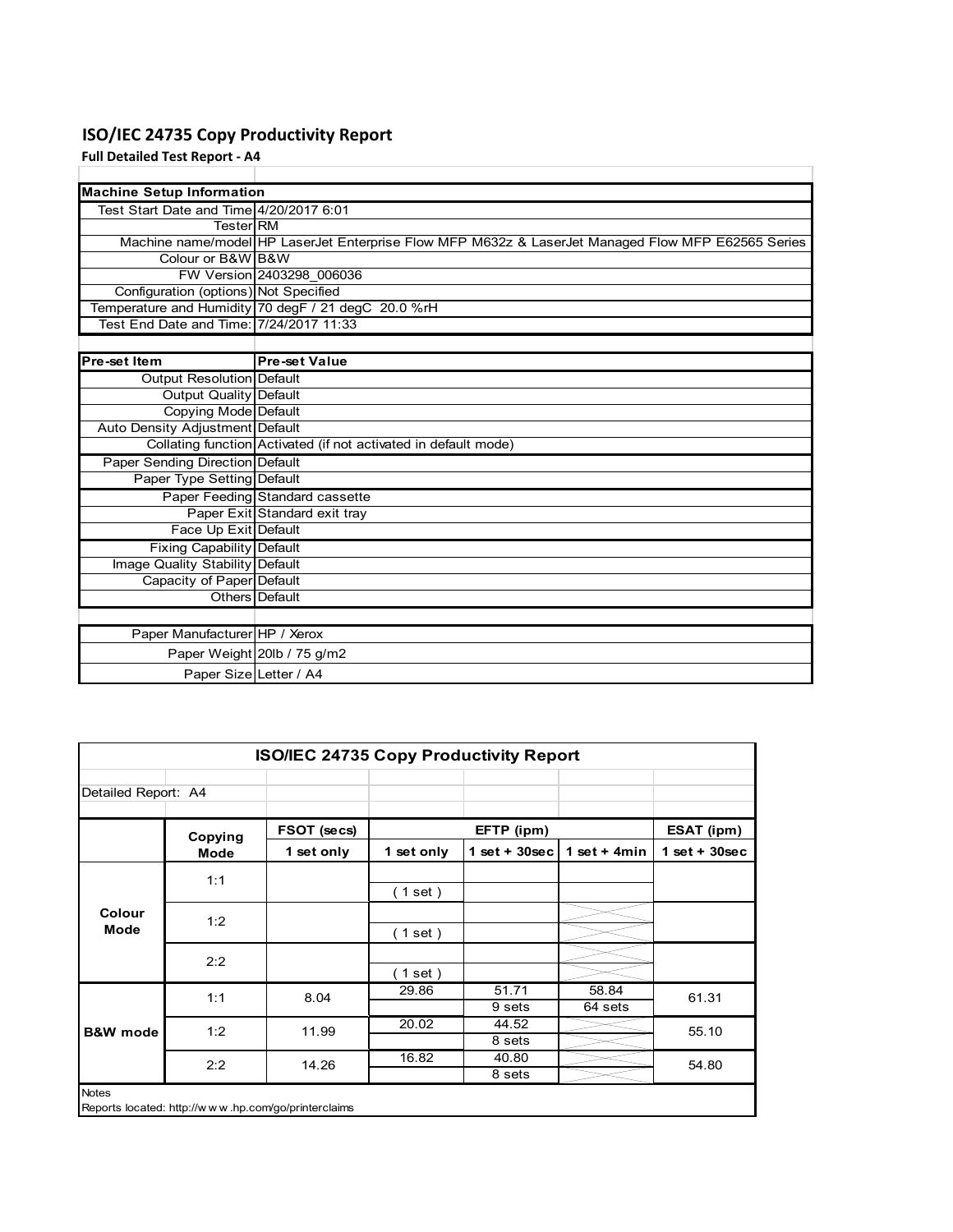# **ISO/IEC 24735 Copy Productivity Report**

**Full Detailed Test Report ‐ A4**

| <b>Machine Setup Information</b>        |                                                                                                    |
|-----------------------------------------|----------------------------------------------------------------------------------------------------|
| Test Start Date and Time 4/20/2017 6:01 |                                                                                                    |
| <b>Tester</b> RM                        |                                                                                                    |
|                                         | Machine name/model HP LaserJet Enterprise Flow MFP M632z & LaserJet Managed Flow MFP E62565 Series |
| Colour or B&W B&W                       |                                                                                                    |
|                                         | FW Version 2403298 006036                                                                          |
| Configuration (options) Not Specified   |                                                                                                    |
|                                         | Temperature and Humidity 70 degF / 21 degC 20.0 %rH                                                |
| Test End Date and Time: 7/24/2017 11:33 |                                                                                                    |
|                                         |                                                                                                    |
| Pre-set Item                            | <b>Pre-set Value</b>                                                                               |
| <b>Output Resolution Default</b>        |                                                                                                    |
| Output Quality Default                  |                                                                                                    |
| <b>Copying Mode Default</b>             |                                                                                                    |
| Auto Density Adjustment Default         |                                                                                                    |
|                                         | Collating function Activated (if not activated in default mode)                                    |
| Paper Sending Direction Default         |                                                                                                    |
| Paper Type Setting Default              |                                                                                                    |
|                                         | Paper Feeding Standard cassette                                                                    |
|                                         | Paper Exit Standard exit tray                                                                      |
| Face Up Exit Default                    |                                                                                                    |
| <b>Fixing Capability Default</b>        |                                                                                                    |
| Image Quality Stability Default         |                                                                                                    |
| Capacity of Paper Default               |                                                                                                    |
|                                         | Others Default                                                                                     |
|                                         |                                                                                                    |
| Paper Manufacturer HP / Xerox           |                                                                                                    |
|                                         | Paper Weight 20lb / 75 g/m2                                                                        |
|                                         | Paper Size Letter / A4                                                                             |

| Detailed Report: A4 |             |             |            |                 |                 |                 |  |
|---------------------|-------------|-------------|------------|-----------------|-----------------|-----------------|--|
|                     | Copying     | FSOT (secs) |            | EFTP (ipm)      |                 | ESAT (ipm)      |  |
|                     | <b>Mode</b> | 1 set only  | 1 set only | $1$ set + 30sec | 1 set $+$ 4 min | $1$ set + 30sec |  |
|                     | 1:1         |             |            |                 |                 |                 |  |
|                     |             |             | (1 set)    |                 |                 |                 |  |
| Colour              | 1:2         |             |            |                 |                 |                 |  |
| Mode                |             |             | ( 1 set )  |                 |                 |                 |  |
|                     | 2:2         |             |            |                 |                 |                 |  |
|                     |             |             | (1 set)    |                 |                 |                 |  |
|                     | 1:1         | 8.04        | 29.86      | 51.71           | 58.84           | 61.31           |  |
| <b>B&amp;W</b> mode |             |             |            | 9 sets          | 64 sets         |                 |  |
|                     | 1:2         | 11.99       | 20.02      | 44.52           |                 | 55.10           |  |
|                     |             |             |            | 8 sets          |                 |                 |  |
|                     | 2:2         | 14.26       | 16.82      | 40.80           |                 | 54.80           |  |
|                     |             |             |            | 8 sets          |                 |                 |  |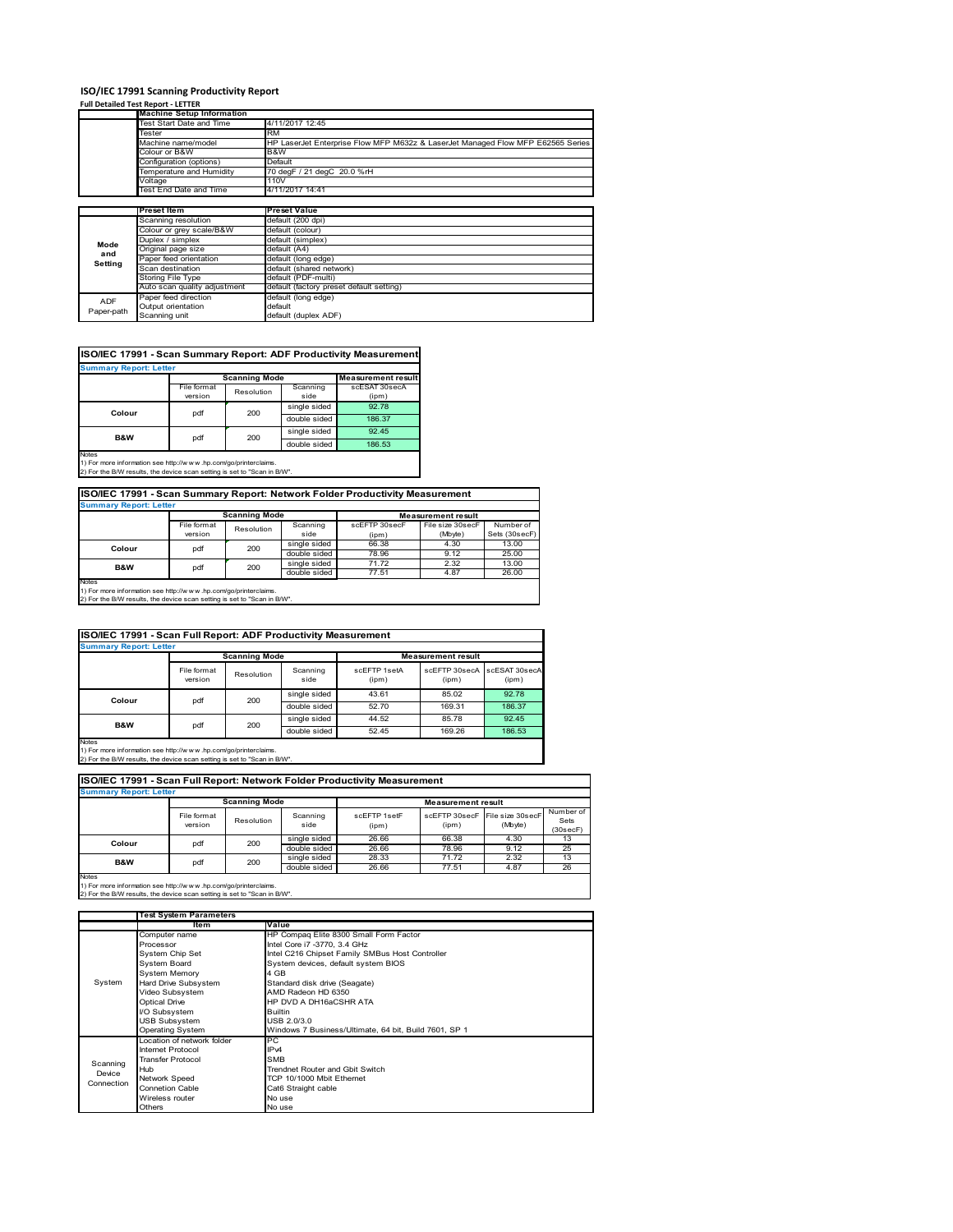# **ISO/IEC 17991 Scanning Productivity Report**

| <b>Full Detailed Test Report - LETTER</b> |  |  |  |
|-------------------------------------------|--|--|--|
|                                           |  |  |  |

|            | <b>Machine Setup Information</b> |                                                                                 |
|------------|----------------------------------|---------------------------------------------------------------------------------|
|            | Test Start Date and Time         | 4/11/2017 12:45                                                                 |
|            | Tester                           | <b>RM</b>                                                                       |
|            | Machine name/model               | HP LaserJet Enterprise Flow MFP M632z & LaserJet Managed Flow MFP E62565 Series |
|            | Colour or B&W                    | B&W                                                                             |
|            | Configuration (options)          | Default                                                                         |
|            | Temperature and Humidity         | 70 degF / 21 degC 20.0 %rH                                                      |
|            | Voltage                          | 110V                                                                            |
|            | Test End Date and Time           | 4/11/2017 14:41                                                                 |
|            |                                  |                                                                                 |
|            | <b>Preset Item</b>               | <b>Preset Value</b>                                                             |
|            | Scanning resolution              | default (200 dpi)                                                               |
|            | Colour or grey scale/B&W         | default (colour)                                                                |
| Mode       | Duplex / simplex                 | default (simplex)                                                               |
| and        | Original page size               | default (A4)                                                                    |
| Setting    | Paper feed orientation           | default (long edge)                                                             |
|            | Scan destination                 | default (shared network)                                                        |
|            | Storing File Type                | default (PDF-multi)                                                             |
|            | Auto scan quality adjustment     | default (factory preset default setting)                                        |
| <b>ADF</b> | Paper feed direction             | default (long edge)                                                             |
|            | Output orientation               | default                                                                         |
| Paper-path | Scanning unit                    | default (duplex ADF)                                                            |

# **ISO/IEC 17991 - Scan Summary Report: ADF Productivity Measurement**

|                |             | <b>Scanning Mode</b> |              | <b>Measurement result</b> |
|----------------|-------------|----------------------|--------------|---------------------------|
|                | File format | Resolution           | Scanning     | scESAT 30secA             |
|                | version     |                      | side         | (ipm)                     |
| Colour         | pdf         | 200                  |              | 92.78                     |
|                |             |                      | double sided | 186.37                    |
| <b>B&amp;W</b> | pdf         | 200                  | single sided | 92.45                     |
|                |             |                      | double sided | 186.53                    |

1) For more information see http://w w w .hp.com/go/printerclaims. 2) For the B/W results, the device scan setting is set to "Scan in B/W".

# **ISO/IEC 17991 - Scan Summary Report: Network Folder Productivity Measurement**

| <b>Summary Report: Letter</b> |                      |            |              |                           |                  |               |  |  |
|-------------------------------|----------------------|------------|--------------|---------------------------|------------------|---------------|--|--|
|                               | <b>Scanning Mode</b> |            |              | <b>Measurement result</b> |                  |               |  |  |
|                               | File format          | Resolution | Scanning     | scEFTP 30secF             | File size 30secF | Number of     |  |  |
|                               | version              |            | side         | (ipm)                     | (Mbyte)          | Sets (30secF) |  |  |
| pdf<br>Colour                 |                      | 200        | single sided | 66.38                     | 4.30             | 13.00         |  |  |
|                               |                      |            | double sided | 78.96                     | 9.12             | 25.00         |  |  |
| B&W                           | pdf                  | 200        | single sided | 71.72                     | 2.32             | 13.00         |  |  |
|                               |                      |            | double sided | 77.51                     | 4.87             | 26.00         |  |  |
| Notes                         |                      |            |              |                           |                  |               |  |  |

Notes 1) For more information see http://w w w .hp.com/go/printerclaims. 2) For the B/W results, the device scan setting is set to "Scan in B/W".

| ISO/IEC 17991 - Scan Full Report: ADF Productivity Measurement |                        |                      |                  |                           |                                      |        |  |  |  |
|----------------------------------------------------------------|------------------------|----------------------|------------------|---------------------------|--------------------------------------|--------|--|--|--|
| <b>Summary Report: Letter</b>                                  |                        |                      |                  |                           |                                      |        |  |  |  |
|                                                                |                        | <b>Scanning Mode</b> |                  | <b>Measurement result</b> |                                      |        |  |  |  |
|                                                                | File format<br>version | Resolution           | Scanning<br>side | scFFTP 1setA<br>(ipm)     | scEFTP 30secA scESAT 30secA<br>(ipm) | (ipm)  |  |  |  |
| Colour                                                         | 200<br>pdf             |                      | single sided     | 43.61                     | 85.02                                | 92.78  |  |  |  |
|                                                                |                        | double sided         | 52.70            | 169.31                    | 186.37                               |        |  |  |  |
|                                                                |                        | 200                  | single sided     | 44.52                     | 85.78                                | 92.45  |  |  |  |
| B&W                                                            | pdf                    |                      | double sided     | 52.45                     | 169.26                               | 186.53 |  |  |  |

Notes 1) For more information see http://w w w .hp.com/go/printerclaims. 2) For the B/W results, the device scan setting is set to "Scan in B/W".

| <b>Summary Report: Letter</b>                                            |                        |                      |                  |                       |                           |                                           |                               |
|--------------------------------------------------------------------------|------------------------|----------------------|------------------|-----------------------|---------------------------|-------------------------------------------|-------------------------------|
|                                                                          |                        | <b>Scanning Mode</b> |                  |                       | <b>Measurement result</b> |                                           |                               |
|                                                                          | File format<br>version | Resolution           | Scanning<br>side | scFFTP 1setF<br>(ipm) | (ipm)                     | scEFTP 30secF File size 30secF<br>(Mbyte) | Number of<br>Sets<br>(30secF) |
| Colour                                                                   |                        | 200                  | single sided     | 26.66                 | 66.38                     | 4.30                                      | 13                            |
|                                                                          | pdf                    |                      | double sided     | 26.66                 | 78.96                     | 9.12                                      | 25                            |
| B&W                                                                      | pdf                    | 200                  | single sided     | 28.33                 | 71.72                     | 2.32                                      | 13                            |
|                                                                          |                        |                      | double sided     | 26.66                 | 77.51                     | 4.87                                      | 26                            |
| <b>Notes</b>                                                             |                        |                      |                  |                       |                           |                                           |                               |
| 1) For more information see http://www.hp.com/go/printerclaims.          |                        |                      |                  |                       |                           |                                           |                               |
| 2) For the B/W results, the device scan setting is set to "Scan in B/W". |                        |                      |                  |                       |                           |                                           |                               |

|            | <b>Test System Parameters</b> |                                                       |  |  |  |
|------------|-------------------------------|-------------------------------------------------------|--|--|--|
|            | Item                          | Value                                                 |  |  |  |
|            | Computer name                 | HP Compaq Elite 8300 Small Form Factor                |  |  |  |
|            | Processor                     | Intel Core i7 -3770, 3.4 GHz                          |  |  |  |
|            | System Chip Set               | Intel C216 Chipset Family SMBus Host Controller       |  |  |  |
|            | <b>System Board</b>           | System devices, default system BIOS                   |  |  |  |
|            | System Memory                 | 4 GB                                                  |  |  |  |
| System     | Hard Drive Subsystem          | Standard disk drive (Seagate)                         |  |  |  |
|            | Video Subsystem               | AMD Radeon HD 6350                                    |  |  |  |
|            | <b>Optical Drive</b>          | HP DVD A DH16aCSHR ATA                                |  |  |  |
|            | I/O Subsystem                 | <b>Builtin</b>                                        |  |  |  |
|            | <b>USB Subsystem</b>          | USB 2.0/3.0                                           |  |  |  |
|            | <b>Operating System</b>       | Windows 7 Business/Ultimate, 64 bit, Build 7601, SP 1 |  |  |  |
|            | Location of network folder    | PC                                                    |  |  |  |
|            | Internet Protocol             | IP <sub>v4</sub>                                      |  |  |  |
| Scanning   | <b>Transfer Protocol</b>      | <b>SMB</b>                                            |  |  |  |
| Device     | Hub                           | Trendnet Router and Gbit Switch                       |  |  |  |
| Connection | Network Speed                 | TCP 10/1000 Mbit Ethernet                             |  |  |  |
|            | <b>Connetion Cable</b>        | Cat6 Straight cable                                   |  |  |  |
|            | Wireless router               | No use                                                |  |  |  |
|            | Others                        | No use                                                |  |  |  |